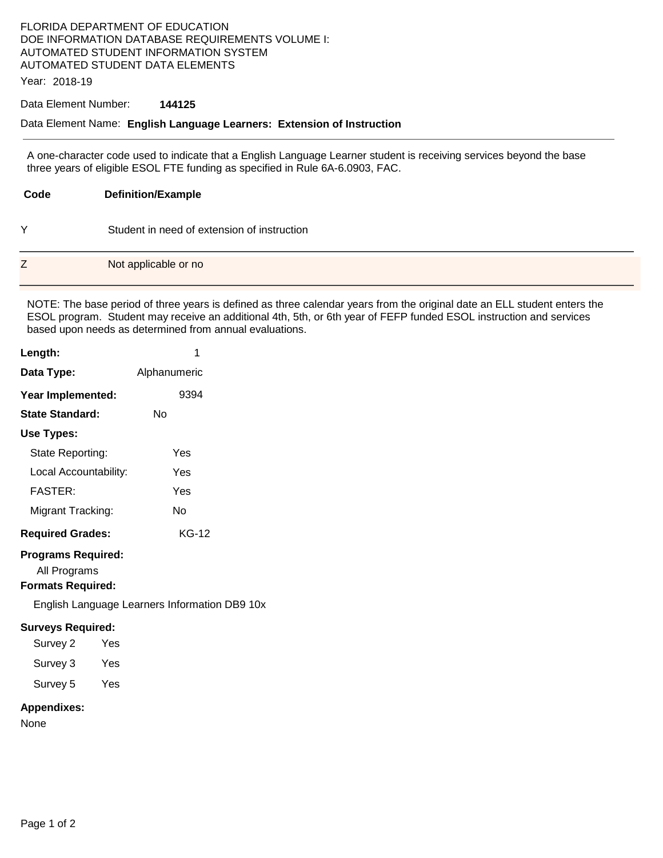# FLORIDA DEPARTMENT OF EDUCATION DOE INFORMATION DATABASE REQUIREMENTS VOLUME I: AUTOMATED STUDENT INFORMATION SYSTEM AUTOMATED STUDENT DATA ELEMENTS

Year: 2018-19

### Data Element Number: **144125**

#### Data Element Name: **English Language Learners: Extension of Instruction**

A one-character code used to indicate that a English Language Learner student is receiving services beyond the base three years of eligible ESOL FTE funding as specified in Rule 6A-6.0903, FAC.

| Code | <b>Definition/Example</b>                   |
|------|---------------------------------------------|
| Y    | Student in need of extension of instruction |
| Z    | Not applicable or no                        |

NOTE: The base period of three years is defined as three calendar years from the original date an ELL student enters the ESOL program. Student may receive an additional 4th, 5th, or 6th year of FEFP funded ESOL instruction and services based upon needs as determined from annual evaluations.

| Length:                                                               | 1                                             |
|-----------------------------------------------------------------------|-----------------------------------------------|
| Data Type:                                                            | Alphanumeric                                  |
| Year Implemented:                                                     | 9394                                          |
| <b>State Standard:</b>                                                | Nο                                            |
| Use Types:                                                            |                                               |
| State Reporting:                                                      | Yes                                           |
| Local Accountability:                                                 | Yes                                           |
| <b>FASTER:</b>                                                        | Yes                                           |
| Migrant Tracking:                                                     | No                                            |
| <b>Required Grades:</b>                                               | KG-12                                         |
| <b>Programs Required:</b><br>All Programs<br><b>Formats Required:</b> |                                               |
|                                                                       | English Language Learners Information DB9 10x |
| <b>Surveys Required:</b>                                              |                                               |
| Survey 2<br>Yes                                                       |                                               |
| Survey 3<br>Yes                                                       |                                               |
| Survey 5<br>Yes                                                       |                                               |
|                                                                       |                                               |

### **Appendixes:**

None